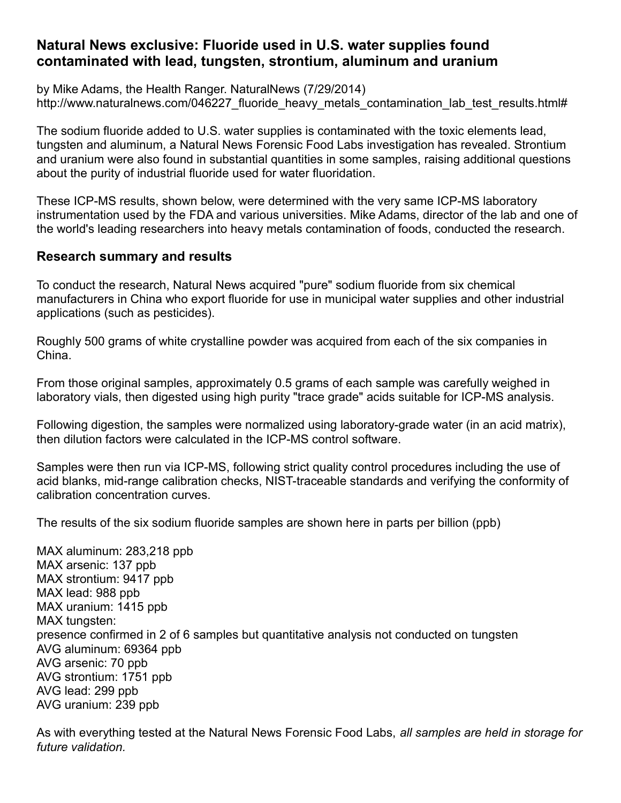## **Natural News exclusive: Fluoride used in U.S. water supplies found contaminated with lead, tungsten, strontium, aluminum and uranium**

by Mike Adams, the Health Ranger. NaturalNews (7/29/2014) http://www.naturalnews.com/046227 fluoride heavy metals contamination lab test results.html#

The sodium fluoride added to U.S. water supplies is contaminated with the toxic elements lead, tungsten and aluminum, a Natural News Forensic Food Labs investigation has revealed. Strontium and uranium were also found in substantial quantities in some samples, raising additional questions about the purity of industrial fluoride used for water fluoridation.

These ICP-MS results, shown below, were determined with the very same ICP-MS laboratory instrumentation used by the FDA and various universities. Mike Adams, director of the lab and one of the world's leading researchers into heavy metals contamination of foods, conducted the research.

### **Research summary and results**

To conduct the research, Natural News acquired "pure" sodium fluoride from six chemical manufacturers in China who export fluoride for use in municipal water supplies and other industrial applications (such as pesticides).

Roughly 500 grams of white crystalline powder was acquired from each of the six companies in China.

From those original samples, approximately 0.5 grams of each sample was carefully weighed in laboratory vials, then digested using high purity "trace grade" acids suitable for ICP-MS analysis.

Following digestion, the samples were normalized using laboratory-grade water (in an acid matrix), then dilution factors were calculated in the ICP-MS control software.

Samples were then run via ICP-MS, following strict quality control procedures including the use of acid blanks, mid-range calibration checks, NIST-traceable standards and verifying the conformity of calibration concentration curves.

The results of the six sodium fluoride samples are shown here in parts per billion (ppb)

MAX aluminum: 283,218 ppb MAX arsenic: 137 ppb MAX strontium: 9417 ppb MAX lead: 988 ppb MAX uranium: 1415 ppb MAX tungsten: presence confirmed in 2 of 6 samples but quantitative analysis not conducted on tungsten AVG aluminum: 69364 ppb AVG arsenic: 70 ppb AVG strontium: 1751 ppb AVG lead: 299 ppb AVG uranium: 239 ppb

As with everything tested at the Natural News Forensic Food Labs, *all samples are held in storage for future validation.*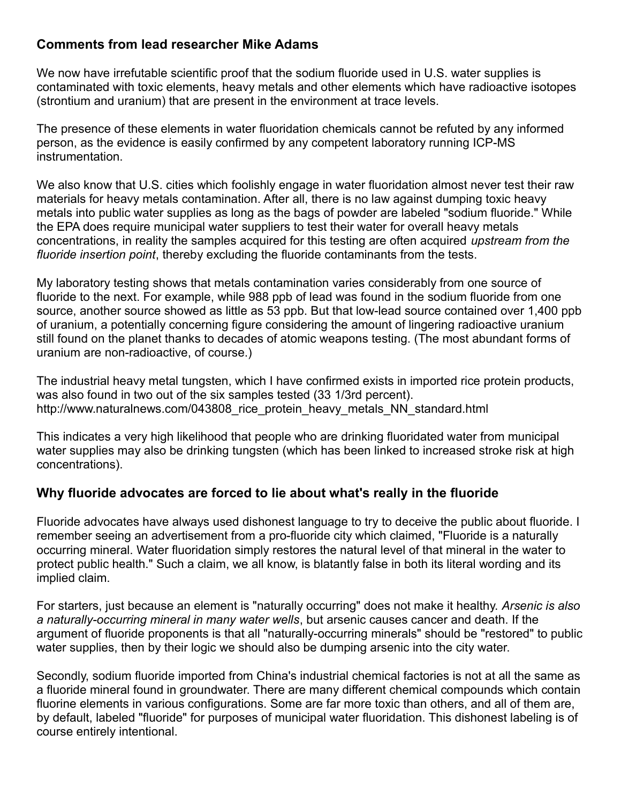## **Comments from lead researcher Mike Adams**

We now have irrefutable scientific proof that the sodium fluoride used in U.S. water supplies is contaminated with toxic elements, heavy metals and other elements which have radioactive isotopes (strontium and uranium) that are present in the environment at trace levels.

The presence of these elements in water fluoridation chemicals cannot be refuted by any informed person, as the evidence is easily confirmed by any competent laboratory running ICP-MS instrumentation.

We also know that U.S. cities which foolishly engage in water fluoridation almost never test their raw materials for heavy metals contamination. After all, there is no law against dumping toxic heavy metals into public water supplies as long as the bags of powder are labeled "sodium fluoride." While the EPA does require municipal water suppliers to test their water for overall heavy metals concentrations, in reality the samples acquired for this testing are often acquired *upstream from the fluoride insertion point*, thereby excluding the fluoride contaminants from the tests.

My laboratory testing shows that metals contamination varies considerably from one source of fluoride to the next. For example, while 988 ppb of lead was found in the sodium fluoride from one source, another source showed as little as 53 ppb. But that low-lead source contained over 1,400 ppb of uranium, a potentially concerning figure considering the amount of lingering radioactive uranium still found on the planet thanks to decades of atomic weapons testing. (The most abundant forms of uranium are non-radioactive, of course.)

The industrial heavy metal tungsten, which I have confirmed exists in imported rice protein products, was also found in two out of the six samples tested (33 1/3rd percent). http://www.naturalnews.com/043808\_rice\_protein\_heavy\_metals\_NN\_standard.html

This indicates a very high likelihood that people who are drinking fluoridated water from municipal water supplies may also be drinking tungsten (which has been linked to increased stroke risk at high concentrations).

# **Why fluoride advocates are forced to lie about what's really in the fluoride**

Fluoride advocates have always used dishonest language to try to deceive the public about fluoride. I remember seeing an advertisement from a pro-fluoride city which claimed, "Fluoride is a naturally occurring mineral. Water fluoridation simply restores the natural level of that mineral in the water to protect public health." Such a claim, we all know, is blatantly false in both its literal wording and its implied claim.

For starters, just because an element is "naturally occurring" does not make it healthy. *Arsenic is also a naturally-occurring mineral in many water wells*, but arsenic causes cancer and death. If the argument of fluoride proponents is that all "naturally-occurring minerals" should be "restored" to public water supplies, then by their logic we should also be dumping arsenic into the city water.

Secondly, sodium fluoride imported from China's industrial chemical factories is not at all the same as a fluoride mineral found in groundwater. There are many different chemical compounds which contain fluorine elements in various configurations. Some are far more toxic than others, and all of them are, by default, labeled "fluoride" for purposes of municipal water fluoridation. This dishonest labeling is of course entirely intentional.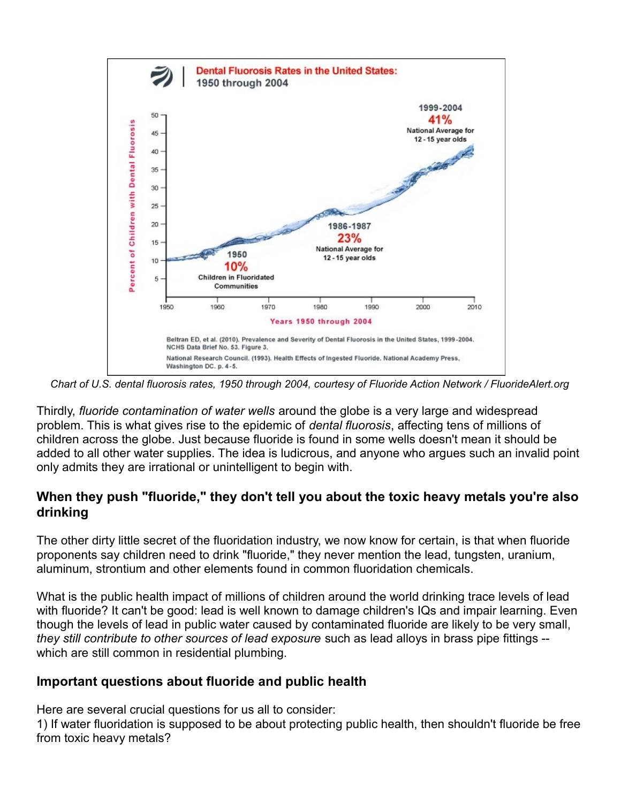

*Chart of U.S. dental fluorosis rates, 1950 through 2004, courtesy of Fluoride Action Network / FluorideAlert.org*

Thirdly, *fluoride contamination of water wells* around the globe is a very large and widespread problem. This is what gives rise to the epidemic of *dental fluorosis*, affecting tens of millions of children across the globe. Just because fluoride is found in some wells doesn't mean it should be added to all other water supplies. The idea is ludicrous, and anyone who argues such an invalid point only admits they are irrational or unintelligent to begin with.

### **When they push "fluoride," they don't tell you about the toxic heavy metals you're also drinking**

The other dirty little secret of the fluoridation industry, we now know for certain, is that when fluoride proponents say children need to drink "fluoride," they never mention the lead, tungsten, uranium, aluminum, strontium and other elements found in common fluoridation chemicals.

What is the public health impact of millions of children around the world drinking trace levels of lead with fluoride? It can't be good: lead is well known to damage children's IQs and impair learning. Even though the levels of lead in public water caused by contaminated fluoride are likely to be very small, *they still contribute to other sources of lead exposure* such as lead alloys in brass pipe fittings - which are still common in residential plumbing.

#### **Important questions about fluoride and public health**

Here are several crucial questions for us all to consider:

1) If water fluoridation is supposed to be about protecting public health, then shouldn't fluoride be free from toxic heavy metals?